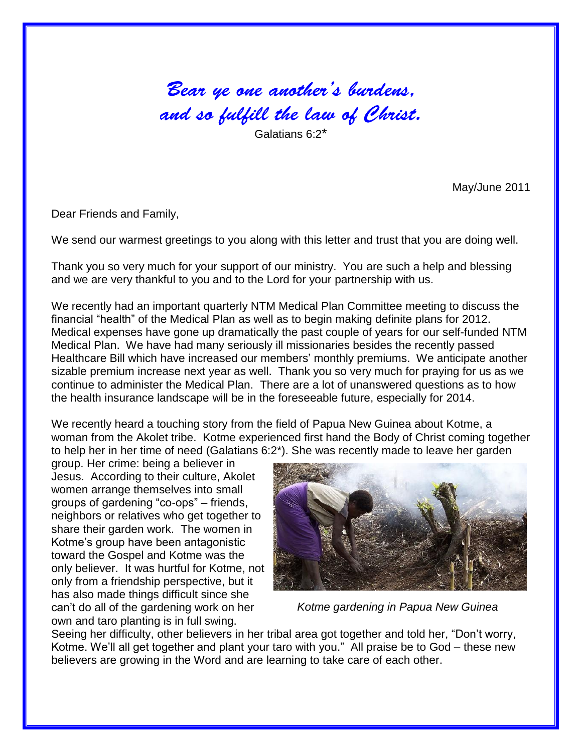## Bear ye one another's burdens, and so fulfill the law of Christ.

May/June 2011

Dear Friends and Family,

We send our warmest greetings to you along with this letter and trust that you are doing well.

Thank you so very much for your support of our ministry. You are such a help and blessing and we are very thankful to you and to the Lord for your partnership with us.

We recently had an important quarterly NTM Medical Plan Committee meeting to discuss the financial "health" of the Medical Plan as well as to begin making definite plans for 2012. Medical expenses have gone up dramatically the past couple of years for our self-funded NTM Medical Plan. We have had many seriously ill missionaries besides the recently passed Healthcare Bill which have increased our members' monthly premiums. We anticipate another sizable premium increase next year as well. Thank you so very much for praying for us as we continue to administer the Medical Plan. There are a lot of unanswered questions as to how the health insurance landscape will be in the foreseeable future, especially for 2014.

We recently heard a touching story from the field of Papua New Guinea about Kotme, a woman from the Akolet tribe. Kotme experienced first hand the Body of Christ coming together to help her in her time of need (Galatians 6:2\*). She was recently made to leave her garden

group. Her crime: being a believer in Jesus. According to their culture, Akolet women arrange themselves into small groups of gardening "co-ops" – friends, neighbors or relatives who get together to share their garden work. The women in Kotme's group have been antagonistic toward the Gospel and Kotme was the only believer. It was hurtful for Kotme, not only from a friendship perspective, but it has also made things difficult since she can't do all of the gardening work on her own and taro planting is in full swing.



*Kotme gardening in Papua New Guinea*

Seeing her difficulty, other believers in her tribal area got together and told her, "Don't worry, Kotme. We'll all get together and plant your taro with you." All praise be to God – these new believers are growing in the Word and are learning to take care of each other.